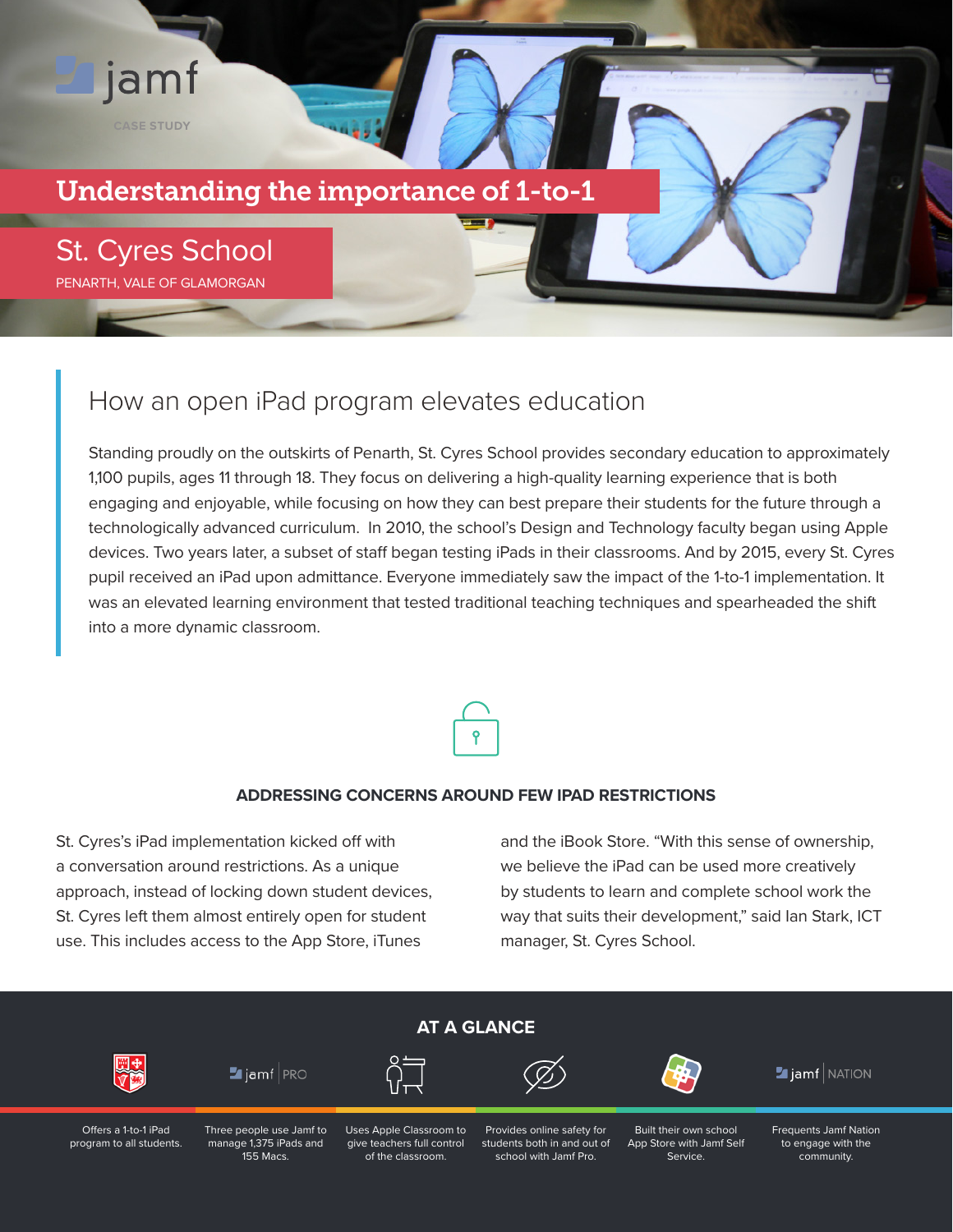# Understanding the importance of 1-to-1

St. Cyres School PENARTH, VALE OF GLAMORGAN

**CASE STUDY**

jamf

### How an open iPad program elevates education

Standing proudly on the outskirts of Penarth, St. Cyres School provides secondary education to approximately 1,100 pupils, ages 11 through 18. They focus on delivering a high-quality learning experience that is both engaging and enjoyable, while focusing on how they can best prepare their students for the future through a technologically advanced curriculum. In 2010, the school's Design and Technology faculty began using Apple devices. Two years later, a subset of staff began testing iPads in their classrooms. And by 2015, every St. Cyres pupil received an iPad upon admittance. Everyone immediately saw the impact of the 1-to-1 implementation. It was an elevated learning environment that tested traditional teaching techniques and spearheaded the shift into a more dynamic classroom.



#### **ADDRESSING CONCERNS AROUND FEW IPAD RESTRICTIONS**

St. Cyres's iPad implementation kicked off with a conversation around restrictions. As a unique approach, instead of locking down student devices, St. Cyres left them almost entirely open for student use. This includes access to the App Store, iTunes

and the iBook Store. "With this sense of ownership, we believe the iPad can be used more creatively by students to learn and complete school work the way that suits their development," said Ian Stark, ICT manager, St. Cyres School.

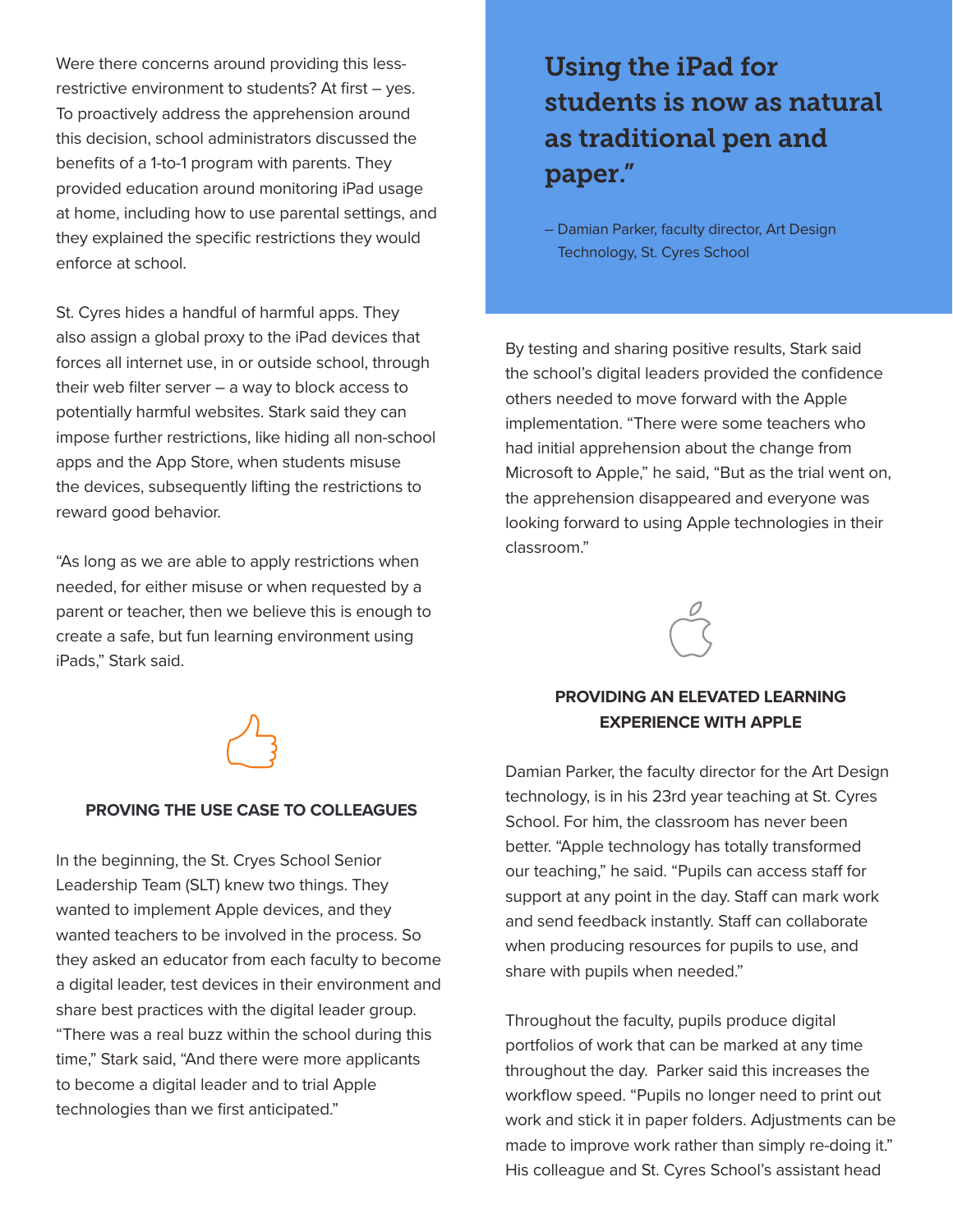Were there concerns around providing this lessrestrictive environment to students? At first – yes. To proactively address the apprehension around this decision, school administrators discussed the benefits of a 1-to-1 program with parents. They provided education around monitoring iPad usage at home, including how to use parental settings, and they explained the specific restrictions they would enforce at school.

St. Cyres hides a handful of harmful apps. They also assign a global proxy to the iPad devices that forces all internet use, in or outside school, through their web filter server – a way to block access to potentially harmful websites. Stark said they can impose further restrictions, like hiding all non-school apps and the App Store, when students misuse the devices, subsequently lifting the restrictions to reward good behavior.

"As long as we are able to apply restrictions when needed, for either misuse or when requested by a parent or teacher, then we believe this is enough to create a safe, but fun learning environment using iPads," Stark said.



#### **PROVING THE USE CASE TO COLLEAGUES**

In the beginning, the St. Cryes School Senior Leadership Team (SLT) knew two things. They wanted to implement Apple devices, and they wanted teachers to be involved in the process. So they asked an educator from each faculty to become a digital leader, test devices in their environment and share best practices with the digital leader group. "There was a real buzz within the school during this time," Stark said, "And there were more applicants to become a digital leader and to trial Apple technologies than we first anticipated."

# Using the iPad for students is now as natural as traditional pen and paper."

– Damian Parker, faculty director, Art Design Technology, St. Cyres School

By testing and sharing positive results, Stark said the school's digital leaders provided the confidence others needed to move forward with the Apple implementation. "There were some teachers who had initial apprehension about the change from Microsoft to Apple," he said, "But as the trial went on, the apprehension disappeared and everyone was looking forward to using Apple technologies in their classroom."



### **PROVIDING AN ELEVATED LEARNING EXPERIENCE WITH APPLE**

Damian Parker, the faculty director for the Art Design technology, is in his 23rd year teaching at St. Cyres School. For him, the classroom has never been better. "Apple technology has totally transformed our teaching," he said. "Pupils can access staff for support at any point in the day. Staff can mark work and send feedback instantly. Staff can collaborate when producing resources for pupils to use, and share with pupils when needed."

Throughout the faculty, pupils produce digital portfolios of work that can be marked at any time throughout the day. Parker said this increases the workflow speed. "Pupils no longer need to print out work and stick it in paper folders. Adjustments can be made to improve work rather than simply re-doing it." His colleague and St. Cyres School's assistant head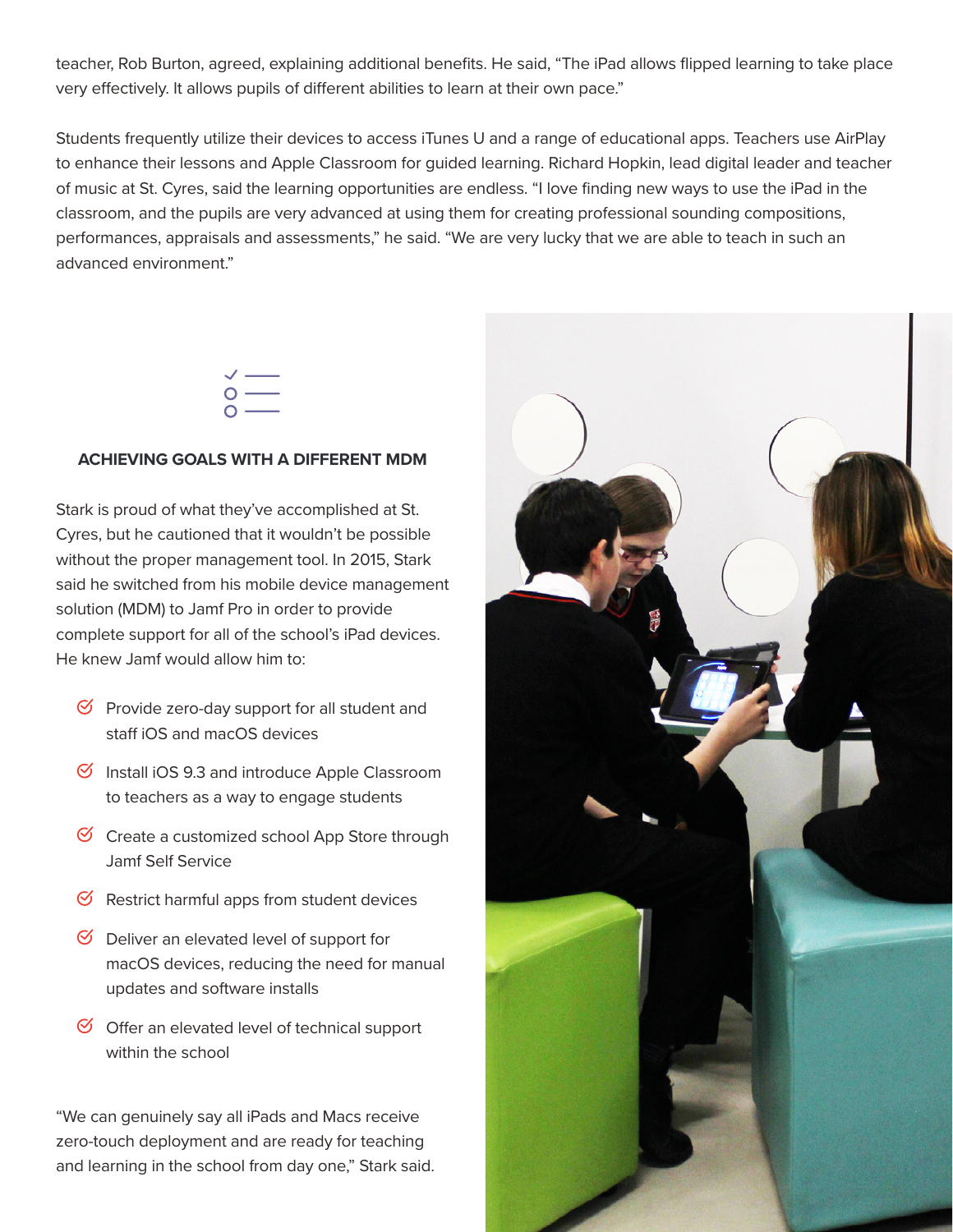teacher, Rob Burton, agreed, explaining additional benefits. He said, "The iPad allows flipped learning to take place very effectively. It allows pupils of different abilities to learn at their own pace."

Students frequently utilize their devices to access iTunes U and a range of educational apps. Teachers use AirPlay to enhance their lessons and Apple Classroom for guided learning. Richard Hopkin, lead digital leader and teacher of music at St. Cyres, said the learning opportunities are endless. "I love finding new ways to use the iPad in the classroom, and the pupils are very advanced at using them for creating professional sounding compositions, performances, appraisals and assessments," he said. "We are very lucky that we are able to teach in such an advanced environment"



#### **ACHIEVING GOALS WITH A DIFFERENT MDM**

Stark is proud of what they've accomplished at St. Cyres, but he cautioned that it wouldn't be possible without the proper management tool. In 2015, Stark said he switched from his mobile device management solution (MDM) to Jamf Pro in order to provide complete support for all of the school's iPad devices. He knew Jamf would allow him to:

- $\heartsuit$  Provide zero-day support for all student and staff iOS and macOS devices
- $\heartsuit$  Install iOS 9.3 and introduce Apple Classroom to teachers as a way to engage students
- $\heartsuit$  Create a customized school App Store through Jamf Self Service
- $\mathcal G$  Restrict harmful apps from student devices
- $\heartsuit$  Deliver an elevated level of support for macOS devices, reducing the need for manual updates and software installs
- $\heartsuit$  Offer an elevated level of technical support within the school

"We can genuinely say all iPads and Macs receive zero-touch deployment and are ready for teaching and learning in the school from day one," Stark said.